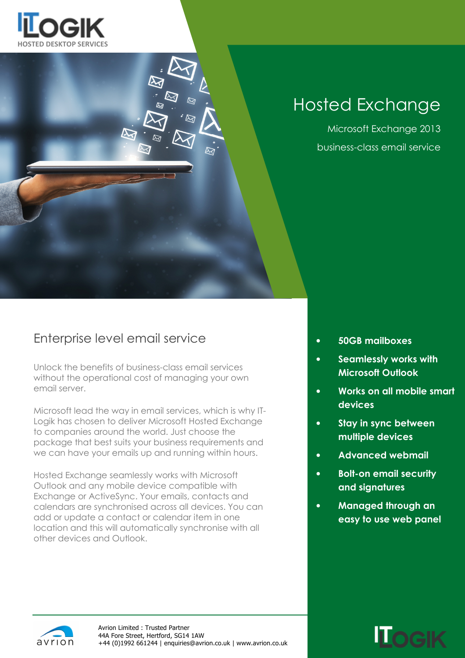

# Hosted Exchange

Microsoft Exchange 2013 business-class email service

#### Enterprise level email service

Unlock the benefits of business-class email services without the operational cost of managing your own email server.

Microsoft lead the way in email services, which is why IT-Logik has chosen to deliver Microsoft Hosted Exchange to companies around the world. Just choose the package that best suits your business requirements and we can have your emails up and running within hours.

Hosted Exchange seamlessly works with Microsoft Outlook and any mobile device compatible with Exchange or ActiveSync. Your emails, contacts and calendars are synchronised across all devices. You can add or update a contact or calendar item in one location and this will automatically synchronise with all other devices and Outlook.

- 50GB mailboxes
- Seamlessly works with Microsoft Outlook
- Works on all mobile smart devices
- Stay in sync between multiple devices
- Advanced webmail
- Bolt-on email security and signatures
- Managed through an easy to use web panel